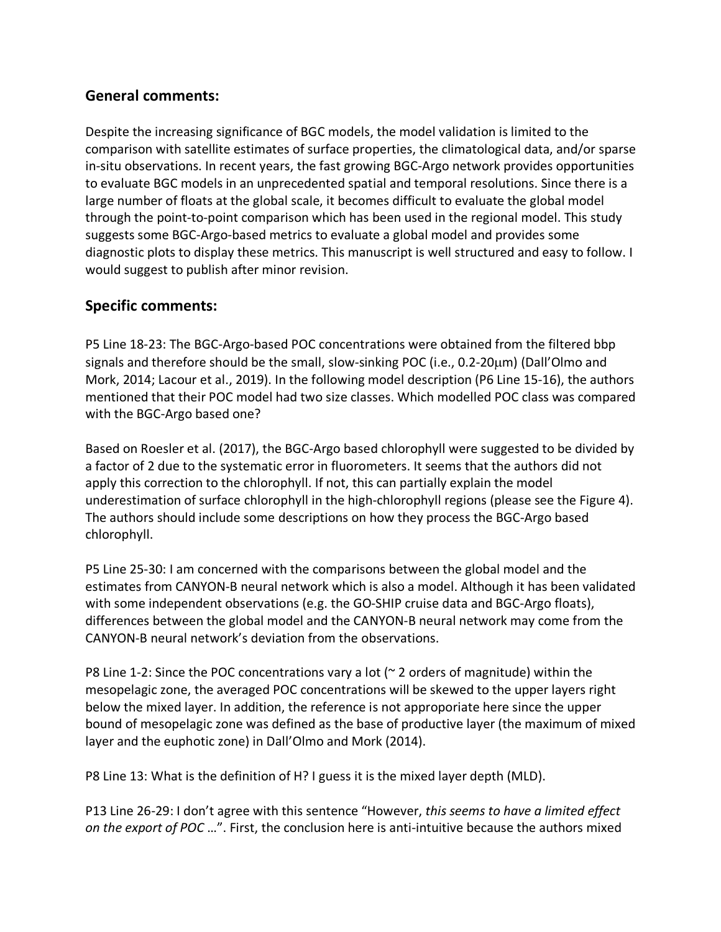## **General comments:**

Despite the increasing significance of BGC models, the model validation is limited to the comparison with satellite estimates of surface properties, the climatological data, and/or sparse in-situ observations. In recent years, the fast growing BGC-Argo network provides opportunities to evaluate BGC models in an unprecedented spatial and temporal resolutions. Since there is a large number of floats at the global scale, it becomes difficult to evaluate the global model through the point-to-point comparison which has been used in the regional model. This study suggests some BGC-Argo-based metrics to evaluate a global model and provides some diagnostic plots to display these metrics. This manuscript is well structured and easy to follow. I would suggest to publish after minor revision.

## **Specific comments:**

P5 Line 18-23: The BGC-Argo-based POC concentrations were obtained from the filtered bbp signals and therefore should be the small, slow-sinking POC (i.e., 0.2-20µm) (Dall'Olmo and Mork, 2014; Lacour et al., 2019). In the following model description (P6 Line 15-16), the authors mentioned that their POC model had two size classes. Which modelled POC class was compared with the BGC-Argo based one?

Based on Roesler et al. (2017), the BGC-Argo based chlorophyll were suggested to be divided by a factor of 2 due to the systematic error in fluorometers. It seems that the authors did not apply this correction to the chlorophyll. If not, this can partially explain the model underestimation of surface chlorophyll in the high-chlorophyll regions (please see the Figure 4). The authors should include some descriptions on how they process the BGC-Argo based chlorophyll.

P5 Line 25-30: I am concerned with the comparisons between the global model and the estimates from CANYON-B neural network which is also a model. Although it has been validated with some independent observations (e.g. the GO-SHIP cruise data and BGC-Argo floats), differences between the global model and the CANYON-B neural network may come from the CANYON-B neural network's deviation from the observations.

P8 Line 1-2: Since the POC concentrations vary a lot ( $\sim$  2 orders of magnitude) within the mesopelagic zone, the averaged POC concentrations will be skewed to the upper layers right below the mixed layer. In addition, the reference is not approporiate here since the upper bound of mesopelagic zone was defined as the base of productive layer (the maximum of mixed layer and the euphotic zone) in Dall'Olmo and Mork (2014).

P8 Line 13: What is the definition of H? I guess it is the mixed layer depth (MLD).

P13 Line 26-29: I don't agree with this sentence "However, *this seems to have a limited effect on the export of POC* …". First, the conclusion here is anti-intuitive because the authors mixed